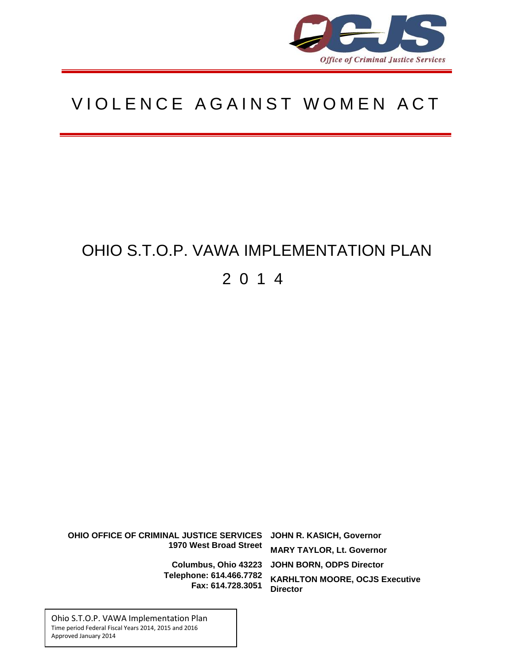

# VIOLENCE AGAINST WOMEN ACT

# OHIO S.T.O.P. VAWA IMPLEMENTATION PLAN 201 4

**DHCOLOR OHIO OFFICE OF CRIMINAL JUSTICE SERVICES JOHN R. KASICH, Governor MARY TAYLOR, Lt. Governor** Columbus, Ohio 43223 JOHN BORN, ODPS Director **KARHLTON MOORE, OCJS Executive Director 1970 West Broad Street Telephone: 614.466.7782 Fax: 614.728.3051**

**www.ocjs.ohio.gov**

Ohio S.T.O.P. VAWA Implementation Plan Time period Federal Fiscal Years 2014, 2015 and 2016 Approved January 2014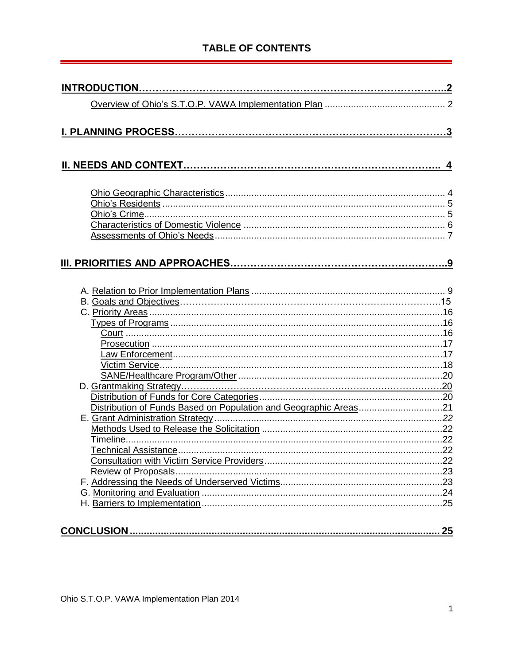# **TABLE OF CONTENTS**

| Distribution of Funds Based on Population and Geographic Areas21 |  |
|------------------------------------------------------------------|--|
|                                                                  |  |
|                                                                  |  |
|                                                                  |  |
|                                                                  |  |
|                                                                  |  |
|                                                                  |  |
|                                                                  |  |
|                                                                  |  |
|                                                                  |  |
|                                                                  |  |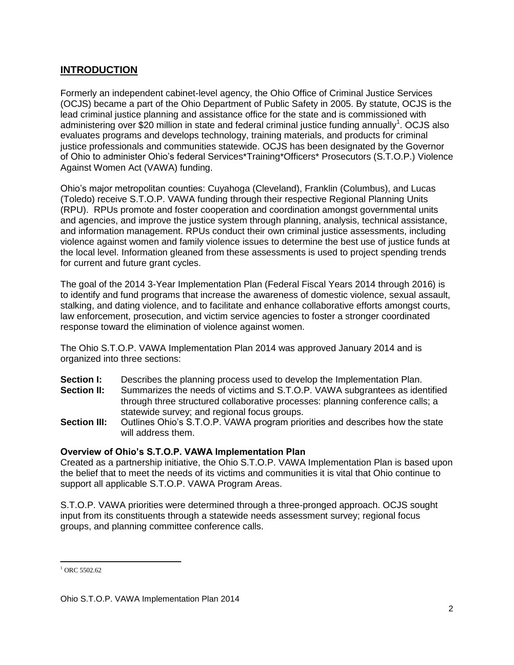## **INTRODUCTION**

Formerly an independent cabinet-level agency, the Ohio Office of Criminal Justice Services (OCJS) became a part of the Ohio Department of Public Safety in 2005. By statute, OCJS is the lead criminal justice planning and assistance office for the state and is commissioned with administering over \$20 million in state and federal criminal justice funding annually<sup>1</sup>. OCJS also evaluates programs and develops technology, training materials, and products for criminal justice professionals and communities statewide. OCJS has been designated by the Governor of Ohio to administer Ohio's federal Services\*Training\*Officers\* Prosecutors (S.T.O.P.) Violence Against Women Act (VAWA) funding.

Ohio's major metropolitan counties: Cuyahoga (Cleveland), Franklin (Columbus), and Lucas (Toledo) receive S.T.O.P. VAWA funding through their respective Regional Planning Units (RPU). RPUs promote and foster cooperation and coordination amongst governmental units and agencies, and improve the justice system through planning, analysis, technical assistance, and information management. RPUs conduct their own criminal justice assessments, including violence against women and family violence issues to determine the best use of justice funds at the local level. Information gleaned from these assessments is used to project spending trends for current and future grant cycles.

The goal of the 2014 3-Year Implementation Plan (Federal Fiscal Years 2014 through 2016) is to identify and fund programs that increase the awareness of domestic violence, sexual assault, stalking, and dating violence, and to facilitate and enhance collaborative efforts amongst courts, law enforcement, prosecution, and victim service agencies to foster a stronger coordinated response toward the elimination of violence against women.

The Ohio S.T.O.P. VAWA Implementation Plan 2014 was approved January 2014 and is organized into three sections:

- **Section I:** Describes the planning process used to develop the Implementation Plan. **Section II:** Summarizes the needs of victims and S.T.O.P. VAWA subgrantees as identified through three structured collaborative processes: planning conference calls; a statewide survey; and regional focus groups.
- **Section III:** Outlines Ohio's S.T.O.P. VAWA program priorities and describes how the state will address them.

#### **Overview of Ohio's S.T.O.P. VAWA Implementation Plan**

Created as a partnership initiative, the Ohio S.T.O.P. VAWA Implementation Plan is based upon the belief that to meet the needs of its victims and communities it is vital that Ohio continue to support all applicable S.T.O.P. VAWA Program Areas.

S.T.O.P. VAWA priorities were determined through a three-pronged approach. OCJS sought input from its constituents through a statewide needs assessment survey; regional focus groups, and planning committee conference calls.

 $\overline{\phantom{a}}$  $1$  ORC 5502.62

Ohio S.T.O.P. VAWA Implementation Plan 2014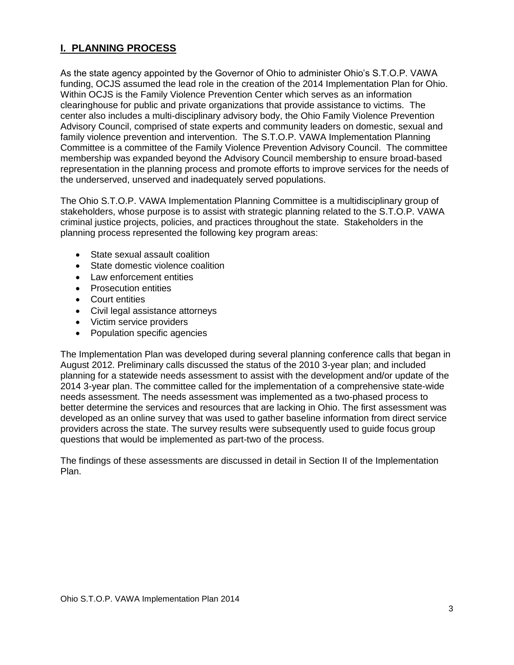## **I. PLANNING PROCESS**

As the state agency appointed by the Governor of Ohio to administer Ohio's S.T.O.P. VAWA funding, OCJS assumed the lead role in the creation of the 2014 Implementation Plan for Ohio. Within OCJS is the Family Violence Prevention Center which serves as an information clearinghouse for public and private organizations that provide assistance to victims. The center also includes a multi-disciplinary advisory body, the Ohio Family Violence Prevention Advisory Council, comprised of state experts and community leaders on domestic, sexual and family violence prevention and intervention. The S.T.O.P. VAWA Implementation Planning Committee is a committee of the Family Violence Prevention Advisory Council. The committee membership was expanded beyond the Advisory Council membership to ensure broad-based representation in the planning process and promote efforts to improve services for the needs of the underserved, unserved and inadequately served populations.

The Ohio S.T.O.P. VAWA Implementation Planning Committee is a multidisciplinary group of stakeholders, whose purpose is to assist with strategic planning related to the S.T.O.P. VAWA criminal justice projects, policies, and practices throughout the state. Stakeholders in the planning process represented the following key program areas:

- State sexual assault coalition
- State domestic violence coalition
- Law enforcement entities
- Prosecution entities
- Court entities
- Civil legal assistance attorneys
- Victim service providers
- Population specific agencies

The Implementation Plan was developed during several planning conference calls that began in August 2012. Preliminary calls discussed the status of the 2010 3-year plan; and included planning for a statewide needs assessment to assist with the development and/or update of the 2014 3-year plan. The committee called for the implementation of a comprehensive state-wide needs assessment. The needs assessment was implemented as a two-phased process to better determine the services and resources that are lacking in Ohio. The first assessment was developed as an online survey that was used to gather baseline information from direct service providers across the state. The survey results were subsequently used to guide focus group questions that would be implemented as part-two of the process.

The findings of these assessments are discussed in detail in Section II of the Implementation Plan.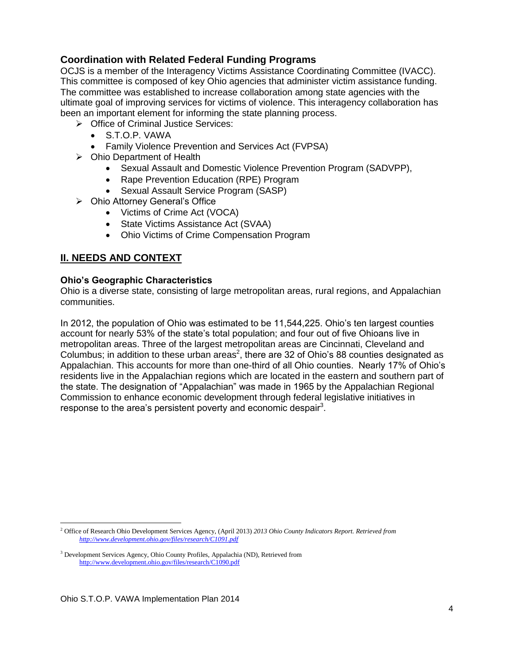## **Coordination with Related Federal Funding Programs**

OCJS is a member of the Interagency Victims Assistance Coordinating Committee (IVACC). This committee is composed of key Ohio agencies that administer victim assistance funding. The committee was established to increase collaboration among state agencies with the ultimate goal of improving services for victims of violence. This interagency collaboration has been an important element for informing the state planning process.

- **▶ Office of Criminal Justice Services:** 
	- S.T.O.P. VAWA
	- Family Violence Prevention and Services Act (FVPSA)
- $\triangleright$  Ohio Department of Health
	- Sexual Assault and Domestic Violence Prevention Program (SADVPP),
	- Rape Prevention Education (RPE) Program
	- Sexual Assault Service Program (SASP)
- Ohio Attorney General's Office
	- Victims of Crime Act (VOCA)
	- State Victims Assistance Act (SVAA)
	- Ohio Victims of Crime Compensation Program

## **II. NEEDS AND CONTEXT**

#### **Ohio's Geographic Characteristics**

Ohio is a diverse state, consisting of large metropolitan areas, rural regions, and Appalachian communities.

In 2012, the population of Ohio was estimated to be 11,544,225. Ohio's ten largest counties account for nearly 53% of the state's total population; and four out of five Ohioans live in metropolitan areas. Three of the largest metropolitan areas are Cincinnati, Cleveland and Columbus; in addition to these urban areas<sup>2</sup>, there are 32 of Ohio's 88 counties designated as Appalachian. This accounts for more than one-third of all Ohio counties. Nearly 17% of Ohio's residents live in the Appalachian regions which are located in the eastern and southern part of the state. The designation of "Appalachian" was made in 1965 by the Appalachian Regional Commission to enhance economic development through federal legislative initiatives in response to the area's persistent poverty and economic despair<sup>3</sup>.

 $\overline{\phantom{a}}$ 

<sup>2</sup> Office of Research Ohio Development Services Agency, (April 2013) *2013 Ohio County Indicators Report. Retrieved from <http://www.development.ohio.gov/files/research/C1091.pdf>*

<sup>&</sup>lt;sup>3</sup> Development Services Agency, Ohio County Profiles, Appalachia (ND), Retrieved from <http://www.development.ohio.gov/files/research/C1090.pdf>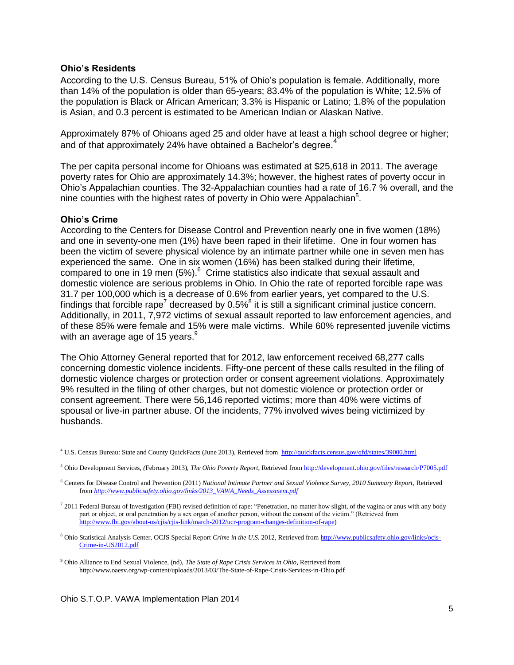#### **Ohio's Residents**

According to the U.S. Census Bureau, 51% of Ohio's population is female. Additionally, more than 14% of the population is older than 65-years; 83.4% of the population is White; 12.5% of the population is Black or African American; 3.3% is Hispanic or Latino; 1.8% of the population is Asian, and 0.3 percent is estimated to be American Indian or Alaskan Native.

Approximately 87% of Ohioans aged 25 and older have at least a high school degree or higher; and of that approximately 24% have obtained a Bachelor's degree.<sup>4</sup>

The per capita personal income for Ohioans was estimated at \$25,618 in 2011. The average poverty rates for Ohio are approximately 14.3%; however, the highest rates of poverty occur in Ohio's Appalachian counties. The 32-Appalachian counties had a rate of 16.7 % overall, and the nine counties with the highest rates of poverty in Ohio were Appalachian $5$ .

#### **Ohio's Crime**

 $\overline{\phantom{a}}$ 

According to the Centers for Disease Control and Prevention nearly one in five women (18%) and one in seventy-one men (1%) have been raped in their lifetime. One in four women has been the victim of severe physical violence by an intimate partner while one in seven men has experienced the same. One in six women (16%) has been stalked during their lifetime, compared to one in 19 men  $(5\%)$ <sup>6</sup> Crime statistics also indicate that sexual assault and domestic violence are serious problems in Ohio. In Ohio the rate of reported forcible rape was 31.7 per 100,000 which is a decrease of 0.6% from earlier years, yet compared to the U.S. findings that forcible rape<sup>7</sup> decreased by 0.5%<sup>8</sup> it is still a significant criminal justice concern. Additionally, in 2011, 7,972 victims of sexual assault reported to law enforcement agencies, and of these 85% were female and 15% were male victims. While 60% represented juvenile victims with an average age of 15 years. $9$ 

The Ohio Attorney General reported that for 2012, law enforcement received 68,277 calls concerning domestic violence incidents. Fifty-one percent of these calls resulted in the filing of domestic violence charges or protection order or consent agreement violations. Approximately 9% resulted in the filing of other charges, but not domestic violence or protection order or consent agreement. There were 56,146 reported victims; more than 40% were victims of spousal or live-in partner abuse. Of the incidents, 77% involved wives being victimized by husbands.

<sup>4</sup> U.S. Census Bureau: State and County QuickFacts (June 2013), Retrieved from<http://quickfacts.census.gov/qfd/states/39000.html>

<sup>5</sup> Ohio Development Services, *(*February 2013), *The Ohio Poverty Report,* Retrieved fro[m http://development.ohio.gov/files/research/P7005.pdf](http://development.ohio.gov/files/research/P7005.pdf)

<sup>6</sup> Centers for Disease Control and Prevention (2011) *National Intimate Partner and Sexual Violence Survey, 2010 Summary Report,* Retrieved from *[http://www.publicsafety.ohio.gov/links/2013\\_VAWA\\_Needs\\_Assessment.pdf](http://www.publicsafety.ohio.gov/links/2013_VAWA_Needs_Assessment.pdf)*

 $^7$  2011 Federal Bureau of Investigation (FBI) revised definition of rape: "Penetration, no matter how slight, of the vagina or anus with any body part or object, or oral penetration by a sex organ of another person, without the consent of the victim." (Retrieved from [http://www.fbi.gov/about-us/cjis/cjis-link/march-2012/ucr-program-changes-definition-of-rape\)](http://www.fbi.gov/about-us/cjis/cjis-link/march-2012/ucr-program-changes-definition-of-rape)

<sup>8</sup> Ohio Statistical Analysis Center, OCJS Special Report *Crime in the U.S.* 2012, Retrieved from [http://www.publicsafety.ohio.gov/links/ocjs-](http://www.publicsafety.ohio.gov/links/ocjs-Crime-in-US2012.pdf)[Crime-in-US2012.pdf](http://www.publicsafety.ohio.gov/links/ocjs-Crime-in-US2012.pdf)

<sup>9</sup> Ohio Alliance to End Sexual Violence, (nd), *The State of Rape Crisis Services in Ohio*, Retrieved from http://www.oaesv.org/wp-content/uploads/2013/03/The-State-of-Rape-Crisis-Services-in-Ohio.pdf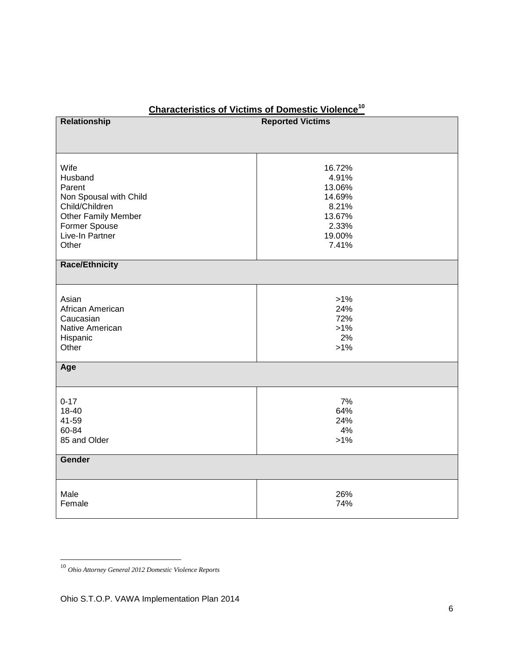| Relationship                                                                                                                              | <b>Reported Victims</b>                                                            |  |
|-------------------------------------------------------------------------------------------------------------------------------------------|------------------------------------------------------------------------------------|--|
|                                                                                                                                           |                                                                                    |  |
| Wife<br>Husband<br>Parent<br>Non Spousal with Child<br>Child/Children<br>Other Family Member<br>Former Spouse<br>Live-In Partner<br>Other | 16.72%<br>4.91%<br>13.06%<br>14.69%<br>8.21%<br>13.67%<br>2.33%<br>19.00%<br>7.41% |  |
| <b>Race/Ethnicity</b>                                                                                                                     |                                                                                    |  |
| Asian<br>African American<br>Caucasian<br>Native American<br>Hispanic<br>Other                                                            | $>1\%$<br>24%<br>72%<br>$>1\%$<br>2%<br>$>1\%$                                     |  |
| Age                                                                                                                                       |                                                                                    |  |
| $0 - 17$<br>18-40<br>41-59<br>60-84<br>85 and Older<br>Gender                                                                             | 7%<br>64%<br>24%<br>4%<br>$>1\%$                                                   |  |
|                                                                                                                                           |                                                                                    |  |
| Male<br>Female                                                                                                                            | 26%<br>74%                                                                         |  |

# **Characteristics of Victims of Domestic Violence<sup>10</sup>**

 $\overline{\phantom{a}}$ 

<sup>10</sup> *Ohio Attorney General 2012 Domestic Violence Reports*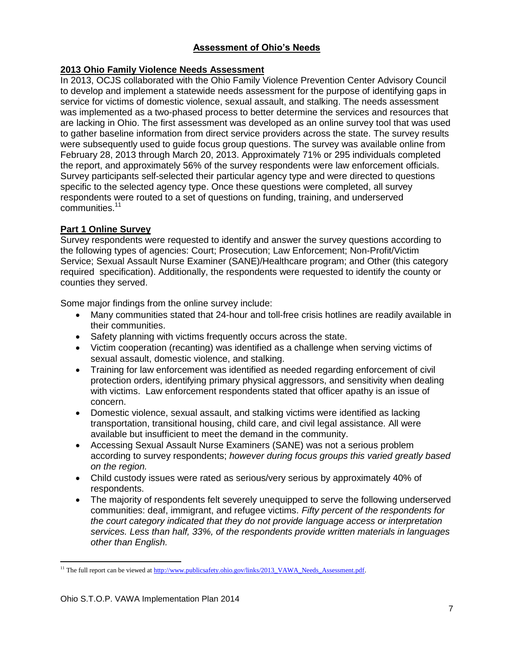## **Assessment of Ohio's Needs**

## **2013 Ohio Family Violence Needs Assessment**

In 2013, OCJS collaborated with the Ohio Family Violence Prevention Center Advisory Council to develop and implement a statewide needs assessment for the purpose of identifying gaps in service for victims of domestic violence, sexual assault, and stalking. The needs assessment was implemented as a two-phased process to better determine the services and resources that are lacking in Ohio. The first assessment was developed as an online survey tool that was used to gather baseline information from direct service providers across the state. The survey results were subsequently used to guide focus group questions. The survey was available online from February 28, 2013 through March 20, 2013. Approximately 71% or 295 individuals completed the report, and approximately 56% of the survey respondents were law enforcement officials. Survey participants self-selected their particular agency type and were directed to questions specific to the selected agency type. Once these questions were completed, all survey respondents were routed to a set of questions on funding, training, and underserved communities.<sup>11</sup>

### **Part 1 Online Survey**

Survey respondents were requested to identify and answer the survey questions according to the following types of agencies: Court; Prosecution; Law Enforcement; Non-Profit/Victim Service; Sexual Assault Nurse Examiner (SANE)/Healthcare program; and Other (this category required specification). Additionally, the respondents were requested to identify the county or counties they served.

Some major findings from the online survey include:

- Many communities stated that 24-hour and toll-free crisis hotlines are readily available in their communities.
- Safety planning with victims frequently occurs across the state.
- Victim cooperation (recanting) was identified as a challenge when serving victims of sexual assault, domestic violence, and stalking.
- Training for law enforcement was identified as needed regarding enforcement of civil protection orders, identifying primary physical aggressors, and sensitivity when dealing with victims. Law enforcement respondents stated that officer apathy is an issue of concern.
- Domestic violence, sexual assault, and stalking victims were identified as lacking transportation, transitional housing, child care, and civil legal assistance. All were available but insufficient to meet the demand in the community.
- Accessing Sexual Assault Nurse Examiners (SANE) was not a serious problem according to survey respondents; *however during focus groups this varied greatly based on the region.*
- Child custody issues were rated as serious/very serious by approximately 40% of respondents.
- The majority of respondents felt severely unequipped to serve the following underserved communities: deaf, immigrant, and refugee victims. *Fifty percent of the respondents for the court category indicated that they do not provide language access or interpretation services. Less than half, 33%, of the respondents provide written materials in languages other than English.*

 $\overline{\phantom{a}}$ <sup>11</sup> The full report can be viewed a[t http://www.publicsafety.ohio.gov/links/2013\\_VAWA\\_Needs\\_Assessment.pdf.](http://www.publicsafety.ohio.gov/links/2013_VAWA_Needs_Assessment.pdf)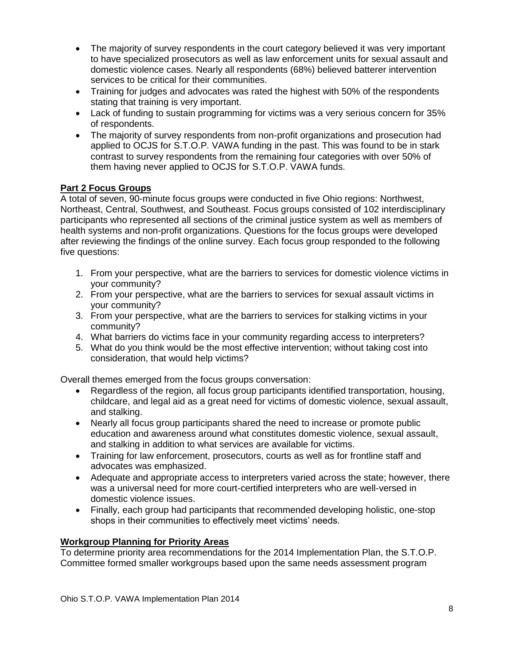- The majority of survey respondents in the court category believed it was very important to have specialized prosecutors as well as law enforcement units for sexual assault and domestic violence cases. Nearly all respondents (68%) believed batterer intervention services to be critical for their communities.
- Training for judges and advocates was rated the highest with 50% of the respondents stating that training is very important.
- Lack of funding to sustain programming for victims was a very serious concern for 35% of respondents.
- The majority of survey respondents from non-profit organizations and prosecution had applied to OCJS for S.T.O.P. VAWA funding in the past. This was found to be in stark contrast to survey respondents from the remaining four categories with over 50% of them having never applied to OCJS for S.T.O.P. VAWA funds.

## **Part 2 Focus Groups**

A total of seven, 90-minute focus groups were conducted in five Ohio regions: Northwest, Northeast, Central, Southwest, and Southeast. Focus groups consisted of 102 interdisciplinary participants who represented all sections of the criminal justice system as well as members of health systems and non-profit organizations. Questions for the focus groups were developed after reviewing the findings of the online survey. Each focus group responded to the following five questions:

- 1. From your perspective, what are the barriers to services for domestic violence victims in your community?
- 2. From your perspective, what are the barriers to services for sexual assault victims in your community?
- 3. From your perspective, what are the barriers to services for stalking victims in your community?
- 4. What barriers do victims face in your community regarding access to interpreters?
- 5. What do you think would be the most effective intervention; without taking cost into consideration, that would help victims?

Overall themes emerged from the focus groups conversation:

- Regardless of the region, all focus group participants identified transportation, housing, childcare, and legal aid as a great need for victims of domestic violence, sexual assault, and stalking.
- Nearly all focus group participants shared the need to increase or promote public education and awareness around what constitutes domestic violence, sexual assault, and stalking in addition to what services are available for victims.
- Training for law enforcement, prosecutors, courts as well as for frontline staff and advocates was emphasized.
- Adequate and appropriate access to interpreters varied across the state; however, there was a universal need for more court-certified interpreters who are well-versed in domestic violence issues.
- Finally, each group had participants that recommended developing holistic, one-stop shops in their communities to effectively meet victims' needs.

#### **Workgroup Planning for Priority Areas**

To determine priority area recommendations for the 2014 Implementation Plan, the S.T.O.P. Committee formed smaller workgroups based upon the same needs assessment program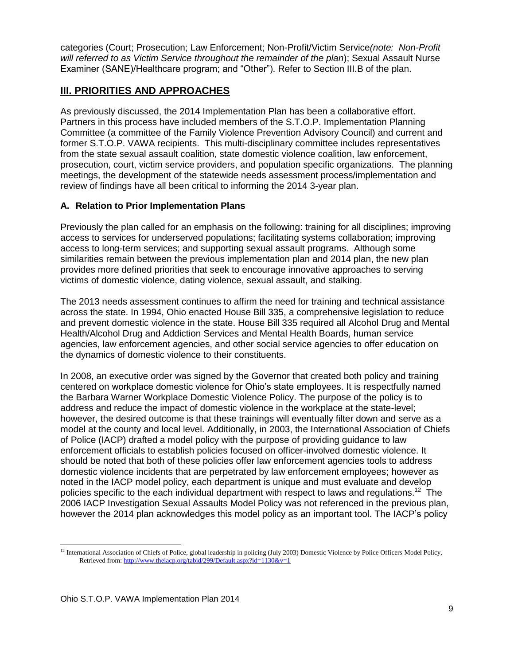categories (Court; Prosecution; Law Enforcement; Non-Profit/Victim Service*(note: Non-Profit will referred to as Victim Service throughout the remainder of the plan*); Sexual Assault Nurse Examiner (SANE)/Healthcare program; and "Other"). Refer to Section III.B of the plan.

## **III. PRIORITIES AND APPROACHES**

As previously discussed, the 2014 Implementation Plan has been a collaborative effort. Partners in this process have included members of the S.T.O.P. Implementation Planning Committee (a committee of the Family Violence Prevention Advisory Council) and current and former S.T.O.P. VAWA recipients. This multi-disciplinary committee includes representatives from the state sexual assault coalition, state domestic violence coalition, law enforcement, prosecution, court, victim service providers, and population specific organizations. The planning meetings, the development of the statewide needs assessment process/implementation and review of findings have all been critical to informing the 2014 3-year plan.

## **A. Relation to Prior Implementation Plans**

Previously the plan called for an emphasis on the following: training for all disciplines; improving access to services for underserved populations; facilitating systems collaboration; improving access to long-term services; and supporting sexual assault programs. Although some similarities remain between the previous implementation plan and 2014 plan, the new plan provides more defined priorities that seek to encourage innovative approaches to serving victims of domestic violence, dating violence, sexual assault, and stalking.

The 2013 needs assessment continues to affirm the need for training and technical assistance across the state. In 1994, Ohio enacted House Bill 335, a comprehensive legislation to reduce and prevent domestic violence in the state. House Bill 335 required all Alcohol Drug and Mental Health/Alcohol Drug and Addiction Services and Mental Health Boards, human service agencies, law enforcement agencies, and other social service agencies to offer education on the dynamics of domestic violence to their constituents.

In 2008, an executive order was signed by the Governor that created both policy and training centered on workplace domestic violence for Ohio's state employees. It is respectfully named the Barbara Warner Workplace Domestic Violence Policy. The purpose of the policy is to address and reduce the impact of domestic violence in the workplace at the state-level; however, the desired outcome is that these trainings will eventually filter down and serve as a model at the county and local level. Additionally, in 2003, the International Association of Chiefs of Police (IACP) drafted a model policy with the purpose of providing guidance to law enforcement officials to establish policies focused on officer-involved domestic violence. It should be noted that both of these policies offer law enforcement agencies tools to address domestic violence incidents that are perpetrated by law enforcement employees; however as noted in the IACP model policy, each department is unique and must evaluate and develop policies specific to the each individual department with respect to laws and regulations.<sup>12</sup> The 2006 IACP Investigation Sexual Assaults Model Policy was not referenced in the previous plan, however the 2014 plan acknowledges this model policy as an important tool. The IACP's policy

l  $12$  International Association of Chiefs of Police, global leadership in policing (July 2003) Domestic Violence by Police Officers Model Policy, Retrieved from[: http://www.theiacp.org/tabid/299/Default.aspx?id=1130&v=1](http://www.theiacp.org/tabid/299/Default.aspx?id=1130&v=1)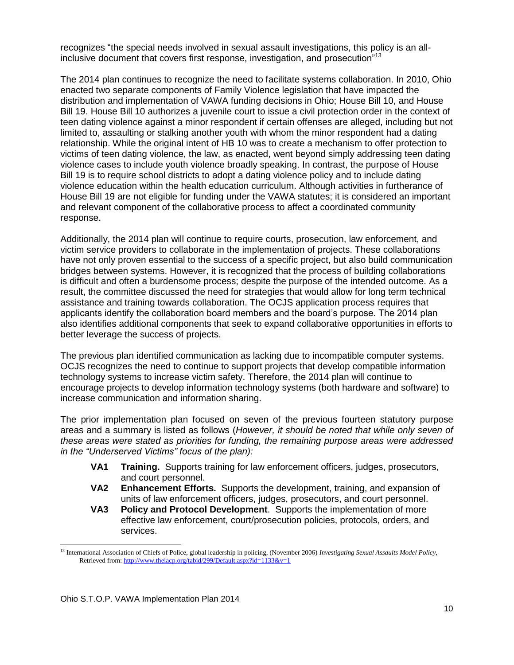recognizes "the special needs involved in sexual assault investigations, this policy is an allinclusive document that covers first response, investigation, and prosecution<sup>713</sup>

The 2014 plan continues to recognize the need to facilitate systems collaboration. In 2010, Ohio enacted two separate components of Family Violence legislation that have impacted the distribution and implementation of VAWA funding decisions in Ohio; House Bill 10, and House Bill 19. House Bill 10 authorizes a juvenile court to issue a civil protection order in the context of teen dating violence against a minor respondent if certain offenses are alleged, including but not limited to, assaulting or stalking another youth with whom the minor respondent had a dating relationship. While the original intent of HB 10 was to create a mechanism to offer protection to victims of teen dating violence, the law, as enacted, went beyond simply addressing teen dating violence cases to include youth violence broadly speaking. In contrast, the purpose of House Bill 19 is to require school districts to adopt a dating violence policy and to include dating violence education within the health education curriculum. Although activities in furtherance of House Bill 19 are not eligible for funding under the VAWA statutes; it is considered an important and relevant component of the collaborative process to affect a coordinated community response.

Additionally, the 2014 plan will continue to require courts, prosecution, law enforcement, and victim service providers to collaborate in the implementation of projects. These collaborations have not only proven essential to the success of a specific project, but also build communication bridges between systems. However, it is recognized that the process of building collaborations is difficult and often a burdensome process; despite the purpose of the intended outcome. As a result, the committee discussed the need for strategies that would allow for long term technical assistance and training towards collaboration. The OCJS application process requires that applicants identify the collaboration board members and the board's purpose. The 2014 plan also identifies additional components that seek to expand collaborative opportunities in efforts to better leverage the success of projects.

The previous plan identified communication as lacking due to incompatible computer systems. OCJS recognizes the need to continue to support projects that develop compatible information technology systems to increase victim safety. Therefore, the 2014 plan will continue to encourage projects to develop information technology systems (both hardware and software) to increase communication and information sharing.

The prior implementation plan focused on seven of the previous fourteen statutory purpose areas and a summary is listed as follows (*However, it should be noted that while only seven of these areas were stated as priorities for funding, the remaining purpose areas were addressed in the "Underserved Victims" focus of the plan):*

- **VA1 Training.** Supports training for law enforcement officers, judges, prosecutors, and court personnel.
- **VA2 Enhancement Efforts.** Supports the development, training, and expansion of units of law enforcement officers, judges, prosecutors, and court personnel.
- **VA3 Policy and Protocol Development**. Supports the implementation of more effective law enforcement, court/prosecution policies, protocols, orders, and services.

l <sup>13</sup> International Association of Chiefs of Police, global leadership in policing, (November 2006) *Investigating Sexual Assaults Model Policy*, Retrieved from[: http://www.theiacp.org/tabid/299/Default.aspx?id=1133&v=1](http://www.theiacp.org/tabid/299/Default.aspx?id=1133&v=1)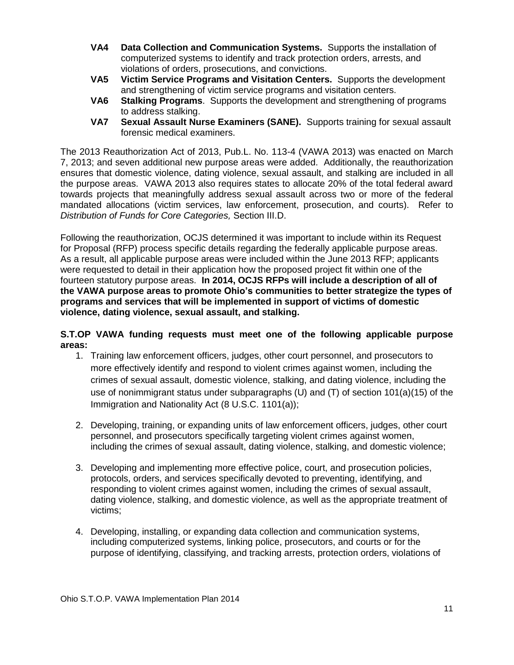- **VA4 Data Collection and Communication Systems.** Supports the installation of computerized systems to identify and track protection orders, arrests, and violations of orders, prosecutions, and convictions.
- **VA5 Victim Service Programs and Visitation Centers.** Supports the development and strengthening of victim service programs and visitation centers.
- **VA6 Stalking Programs**.Supports the development and strengthening of programs to address stalking.
- **VA7 Sexual Assault Nurse Examiners (SANE).** Supports training for sexual assault forensic medical examiners.

The 2013 Reauthorization Act of 2013, Pub.L. No. 113-4 (VAWA 2013) was enacted on March 7, 2013; and seven additional new purpose areas were added. Additionally, the reauthorization ensures that domestic violence, dating violence, sexual assault, and stalking are included in all the purpose areas. VAWA 2013 also requires states to allocate 20% of the total federal award towards projects that meaningfully address sexual assault across two or more of the federal mandated allocations (victim services, law enforcement, prosecution, and courts). Refer to *Distribution of Funds for Core Categories,* Section III.D.

Following the reauthorization, OCJS determined it was important to include within its Request for Proposal (RFP) process specific details regarding the federally applicable purpose areas. As a result, all applicable purpose areas were included within the June 2013 RFP; applicants were requested to detail in their application how the proposed project fit within one of the fourteen statutory purpose areas. **In 2014, OCJS RFPs will include a description of all of the VAWA purpose areas to promote Ohio's communities to better strategize the types of programs and services that will be implemented in support of victims of domestic violence, dating violence, sexual assault, and stalking.** 

#### **S.T.OP VAWA funding requests must meet one of the following applicable purpose areas:**

- 1. Training law enforcement officers, judges, other court personnel, and prosecutors to more effectively identify and respond to violent crimes against women, including the crimes of sexual assault, domestic violence, stalking, and dating violence, including the use of nonimmigrant status under subparagraphs (U) and (T) of section 101(a)(15) of the Immigration and Nationality Act (8 U.S.C. 1101(a));
- 2. Developing, training, or expanding units of law enforcement officers, judges, other court personnel, and prosecutors specifically targeting violent crimes against women, including the crimes of sexual assault, dating violence, stalking, and domestic violence;
- 3. Developing and implementing more effective police, court, and prosecution policies, protocols, orders, and services specifically devoted to preventing, identifying, and responding to violent crimes against women, including the crimes of sexual assault, dating violence, stalking, and domestic violence, as well as the appropriate treatment of victims;
- 4. Developing, installing, or expanding data collection and communication systems, including computerized systems, linking police, prosecutors, and courts or for the purpose of identifying, classifying, and tracking arrests, protection orders, violations of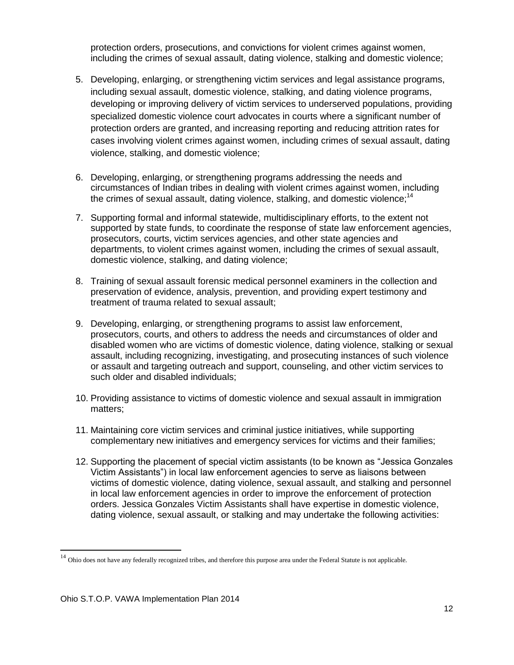protection orders, prosecutions, and convictions for violent crimes against women, including the crimes of sexual assault, dating violence, stalking and domestic violence;

- 5. Developing, enlarging, or strengthening victim services and legal assistance programs, including sexual assault, domestic violence, stalking, and dating violence programs, developing or improving delivery of victim services to underserved populations, providing specialized domestic violence court advocates in courts where a significant number of protection orders are granted, and increasing reporting and reducing attrition rates for cases involving violent crimes against women, including crimes of sexual assault, dating violence, stalking, and domestic violence;
- 6. Developing, enlarging, or strengthening programs addressing the needs and circumstances of Indian tribes in dealing with violent crimes against women, including the crimes of sexual assault, dating violence, stalking, and domestic violence;<sup>14</sup>
- 7. Supporting formal and informal statewide, multidisciplinary efforts, to the extent not supported by state funds, to coordinate the response of state law enforcement agencies. prosecutors, courts, victim services agencies, and other state agencies and departments, to violent crimes against women, including the crimes of sexual assault, domestic violence, stalking, and dating violence;
- 8. Training of sexual assault forensic medical personnel examiners in the collection and preservation of evidence, analysis, prevention, and providing expert testimony and treatment of trauma related to sexual assault;
- 9. Developing, enlarging, or strengthening programs to assist law enforcement, prosecutors, courts, and others to address the needs and circumstances of older and disabled women who are victims of domestic violence, dating violence, stalking or sexual assault, including recognizing, investigating, and prosecuting instances of such violence or assault and targeting outreach and support, counseling, and other victim services to such older and disabled individuals;
- 10. Providing assistance to victims of domestic violence and sexual assault in immigration matters;
- 11. Maintaining core victim services and criminal justice initiatives, while supporting complementary new initiatives and emergency services for victims and their families;
- 12. Supporting the placement of special victim assistants (to be known as "Jessica Gonzales Victim Assistants") in local law enforcement agencies to serve as liaisons between victims of domestic violence, dating violence, sexual assault, and stalking and personnel in local law enforcement agencies in order to improve the enforcement of protection orders. Jessica Gonzales Victim Assistants shall have expertise in domestic violence, dating violence, sexual assault, or stalking and may undertake the following activities:

 $\overline{\phantom{a}}$ 

<sup>&</sup>lt;sup>14</sup> Ohio does not have any federally recognized tribes, and therefore this purpose area under the Federal Statute is not applicable.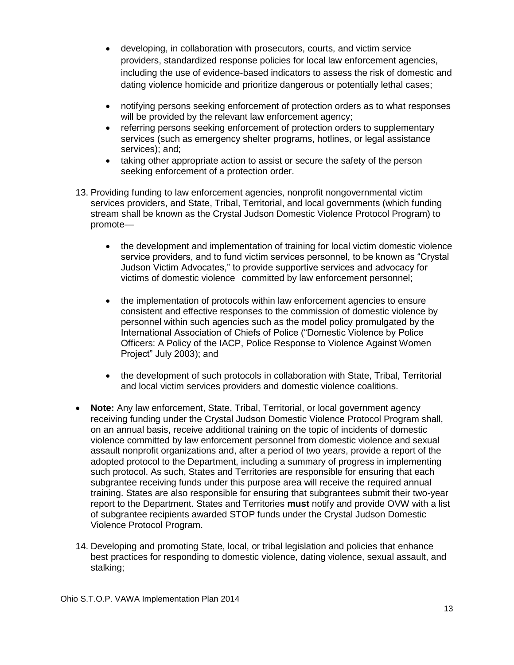- developing, in collaboration with prosecutors, courts, and victim service providers, standardized response policies for local law enforcement agencies, including the use of evidence-based indicators to assess the risk of domestic and dating violence homicide and prioritize dangerous or potentially lethal cases;
- notifying persons seeking enforcement of protection orders as to what responses will be provided by the relevant law enforcement agency;
- referring persons seeking enforcement of protection orders to supplementary services (such as emergency shelter programs, hotlines, or legal assistance services); and;
- taking other appropriate action to assist or secure the safety of the person seeking enforcement of a protection order.
- 13. Providing funding to law enforcement agencies, nonprofit nongovernmental victim services providers, and State, Tribal, Territorial, and local governments (which funding stream shall be known as the Crystal Judson Domestic Violence Protocol Program) to promote—
	- the development and implementation of training for local victim domestic violence service providers, and to fund victim services personnel, to be known as "Crystal Judson Victim Advocates," to provide supportive services and advocacy for victims of domestic violence committed by law enforcement personnel;
	- the implementation of protocols within law enforcement agencies to ensure consistent and effective responses to the commission of domestic violence by personnel within such agencies such as the model policy promulgated by the International Association of Chiefs of Police ("Domestic Violence by Police Officers: A Policy of the IACP, Police Response to Violence Against Women Project" July 2003); and
	- the development of such protocols in collaboration with State, Tribal, Territorial and local victim services providers and domestic violence coalitions.
- **Note:** Any law enforcement, State, Tribal, Territorial, or local government agency receiving funding under the Crystal Judson Domestic Violence Protocol Program shall, on an annual basis, receive additional training on the topic of incidents of domestic violence committed by law enforcement personnel from domestic violence and sexual assault nonprofit organizations and, after a period of two years, provide a report of the adopted protocol to the Department, including a summary of progress in implementing such protocol. As such, States and Territories are responsible for ensuring that each subgrantee receiving funds under this purpose area will receive the required annual training. States are also responsible for ensuring that subgrantees submit their two-year report to the Department. States and Territories **must** notify and provide OVW with a list of subgrantee recipients awarded STOP funds under the Crystal Judson Domestic Violence Protocol Program.
- 14. Developing and promoting State, local, or tribal legislation and policies that enhance best practices for responding to domestic violence, dating violence, sexual assault, and stalking;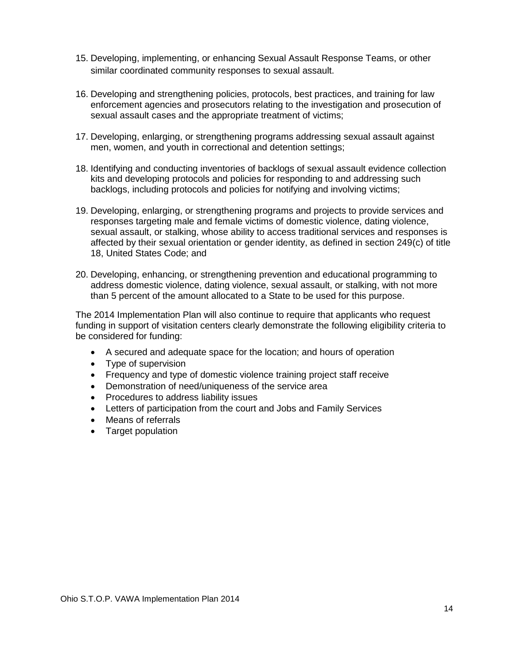- 15. Developing, implementing, or enhancing Sexual Assault Response Teams, or other similar coordinated community responses to sexual assault.
- 16. Developing and strengthening policies, protocols, best practices, and training for law enforcement agencies and prosecutors relating to the investigation and prosecution of sexual assault cases and the appropriate treatment of victims;
- 17. Developing, enlarging, or strengthening programs addressing sexual assault against men, women, and youth in correctional and detention settings;
- 18. Identifying and conducting inventories of backlogs of sexual assault evidence collection kits and developing protocols and policies for responding to and addressing such backlogs, including protocols and policies for notifying and involving victims;
- 19. Developing, enlarging, or strengthening programs and projects to provide services and responses targeting male and female victims of domestic violence, dating violence, sexual assault, or stalking, whose ability to access traditional services and responses is affected by their sexual orientation or gender identity, as defined in section 249(c) of title 18, United States Code; and
- 20. Developing, enhancing, or strengthening prevention and educational programming to address domestic violence, dating violence, sexual assault, or stalking, with not more than 5 percent of the amount allocated to a State to be used for this purpose.

The 2014 Implementation Plan will also continue to require that applicants who request funding in support of visitation centers clearly demonstrate the following eligibility criteria to be considered for funding:

- A secured and adequate space for the location; and hours of operation
- Type of supervision
- Frequency and type of domestic violence training project staff receive
- Demonstration of need/uniqueness of the service area
- Procedures to address liability issues
- Letters of participation from the court and Jobs and Family Services
- Means of referrals
- Target population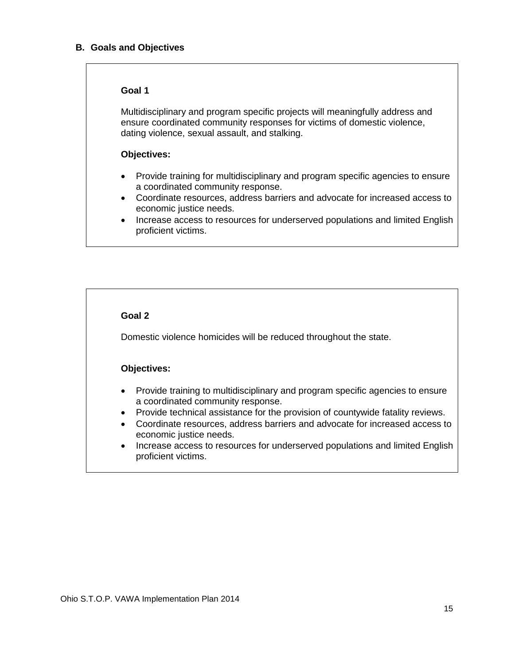#### **B. Goals and Objectives**

#### **Goal 1**

Multidisciplinary and program specific projects will meaningfully address and ensure coordinated community responses for victims of domestic violence, dating violence, sexual assault, and stalking.

#### **Objectives:**

- Provide training for multidisciplinary and program specific agencies to ensure a coordinated community response.
- Coordinate resources, address barriers and advocate for increased access to economic justice needs.
- Increase access to resources for underserved populations and limited English proficient victims.

#### **Goal 2**

Domestic violence homicides will be reduced throughout the state.

#### **Objectives:**

- Provide training to multidisciplinary and program specific agencies to ensure a coordinated community response.
- Provide technical assistance for the provision of countywide fatality reviews.
- Coordinate resources, address barriers and advocate for increased access to economic justice needs.
- Increase access to resources for underserved populations and limited English proficient victims.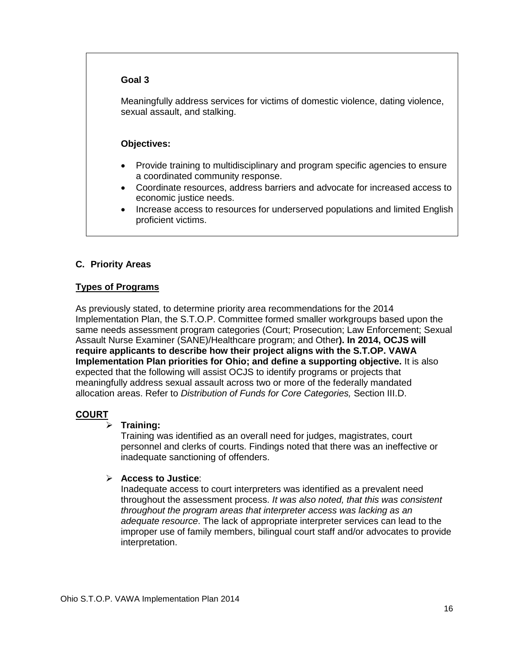#### **Goal 3**

Meaningfully address services for victims of domestic violence, dating violence, sexual assault, and stalking.

#### **Objectives:**

- Provide training to multidisciplinary and program specific agencies to ensure a coordinated community response.
- Coordinate resources, address barriers and advocate for increased access to economic justice needs.
- Increase access to resources for underserved populations and limited English proficient victims.

### **C. Priority Areas**

#### **Types of Programs**

As previously stated, to determine priority area recommendations for the 2014 Implementation Plan, the S.T.O.P. Committee formed smaller workgroups based upon the same needs assessment program categories (Court; Prosecution; Law Enforcement; Sexual Assault Nurse Examiner (SANE)/Healthcare program; and Other**). In 2014, OCJS will require applicants to describe how their project aligns with the S.T.OP. VAWA Implementation Plan priorities for Ohio; and define a supporting objective.** It is also expected that the following will assist OCJS to identify programs or projects that meaningfully address sexual assault across two or more of the federally mandated allocation areas. Refer to *Distribution of Funds for Core Categories,* Section III.D.

#### **COURT**

#### **Training:**

Training was identified as an overall need for judges, magistrates, court personnel and clerks of courts. Findings noted that there was an ineffective or inadequate sanctioning of offenders.

#### **Access to Justice**:

Inadequate access to court interpreters was identified as a prevalent need throughout the assessment process. *It was also noted, that this was consistent throughout the program areas that interpreter access was lacking as an adequate resource*. The lack of appropriate interpreter services can lead to the improper use of family members, bilingual court staff and/or advocates to provide interpretation.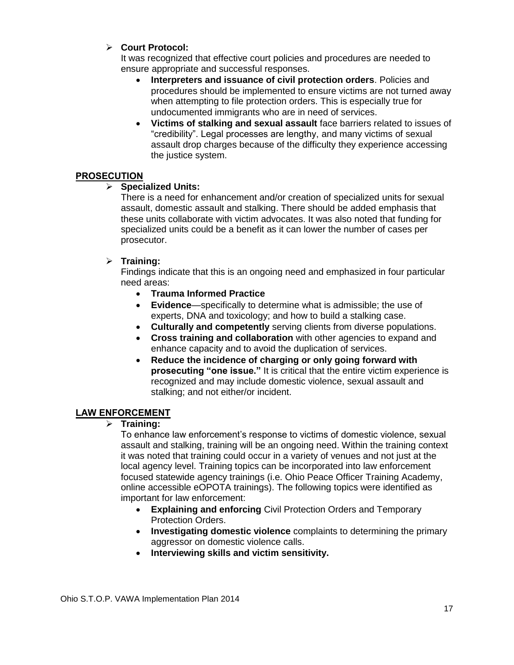## **Court Protocol:**

It was recognized that effective court policies and procedures are needed to ensure appropriate and successful responses.

- **Interpreters and issuance of civil protection orders**. Policies and procedures should be implemented to ensure victims are not turned away when attempting to file protection orders. This is especially true for undocumented immigrants who are in need of services.
- **Victims of stalking and sexual assault** face barriers related to issues of "credibility". Legal processes are lengthy, and many victims of sexual assault drop charges because of the difficulty they experience accessing the justice system.

#### **PROSECUTION**

#### **Specialized Units:**

There is a need for enhancement and/or creation of specialized units for sexual assault, domestic assault and stalking. There should be added emphasis that these units collaborate with victim advocates. It was also noted that funding for specialized units could be a benefit as it can lower the number of cases per prosecutor.

#### **Training:**

Findings indicate that this is an ongoing need and emphasized in four particular need areas:

- **Trauma Informed Practice**
- **Evidence**—specifically to determine what is admissible; the use of experts, DNA and toxicology; and how to build a stalking case.
- **Culturally and competently** serving clients from diverse populations.
- **Cross training and collaboration** with other agencies to expand and enhance capacity and to avoid the duplication of services.
- **Reduce the incidence of charging or only going forward with prosecuting "one issue."** It is critical that the entire victim experience is recognized and may include domestic violence, sexual assault and stalking; and not either/or incident.

#### **LAW ENFORCEMENT**

**Training:**

To enhance law enforcement's response to victims of domestic violence, sexual assault and stalking, training will be an ongoing need. Within the training context it was noted that training could occur in a variety of venues and not just at the local agency level. Training topics can be incorporated into law enforcement focused statewide agency trainings (i.e. Ohio Peace Officer Training Academy, online accessible eOPOTA trainings). The following topics were identified as important for law enforcement:

- **Explaining and enforcing** Civil Protection Orders and Temporary Protection Orders.
- **Investigating domestic violence** complaints to determining the primary aggressor on domestic violence calls.
- **Interviewing skills and victim sensitivity.**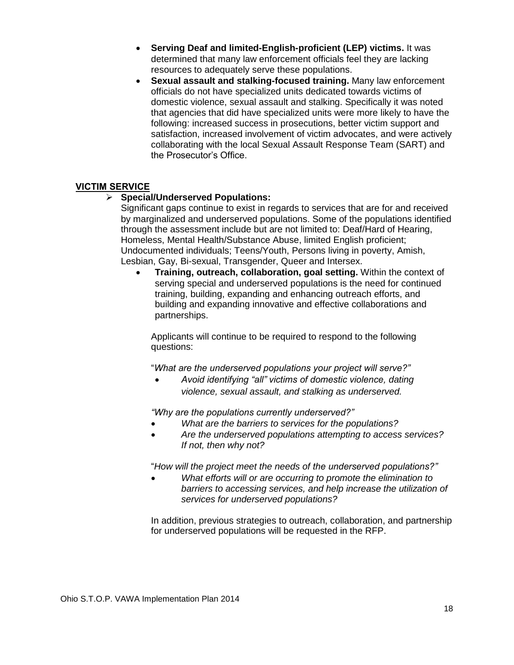- **Serving Deaf and limited-English-proficient (LEP) victims.** It was determined that many law enforcement officials feel they are lacking resources to adequately serve these populations.
- **Sexual assault and stalking-focused training.** Many law enforcement officials do not have specialized units dedicated towards victims of domestic violence, sexual assault and stalking. Specifically it was noted that agencies that did have specialized units were more likely to have the following: increased success in prosecutions, better victim support and satisfaction, increased involvement of victim advocates, and were actively collaborating with the local Sexual Assault Response Team (SART) and the Prosecutor's Office.

### **VICTIM SERVICE**

### **Special/Underserved Populations:**

Significant gaps continue to exist in regards to services that are for and received by marginalized and underserved populations. Some of the populations identified through the assessment include but are not limited to: Deaf/Hard of Hearing, Homeless, Mental Health/Substance Abuse, limited English proficient; Undocumented individuals; Teens/Youth, Persons living in poverty, Amish, Lesbian, Gay, Bi-sexual, Transgender, Queer and Intersex.

 **Training, outreach, collaboration, goal setting.** Within the context of serving special and underserved populations is the need for continued training, building, expanding and enhancing outreach efforts, and building and expanding innovative and effective collaborations and partnerships.

Applicants will continue to be required to respond to the following questions:

"*What are the underserved populations your project will serve?"*

 *Avoid identifying "all" victims of domestic violence, dating violence, sexual assault, and stalking as underserved.*

*"Why are the populations currently underserved?"*

- *What are the barriers to services for the populations?*
- *Are the underserved populations attempting to access services? If not, then why not?*

"*How will the project meet the needs of the underserved populations?"*

 *What efforts will or are occurring to promote the elimination to barriers to accessing services, and help increase the utilization of services for underserved populations?*

In addition, previous strategies to outreach, collaboration, and partnership for underserved populations will be requested in the RFP.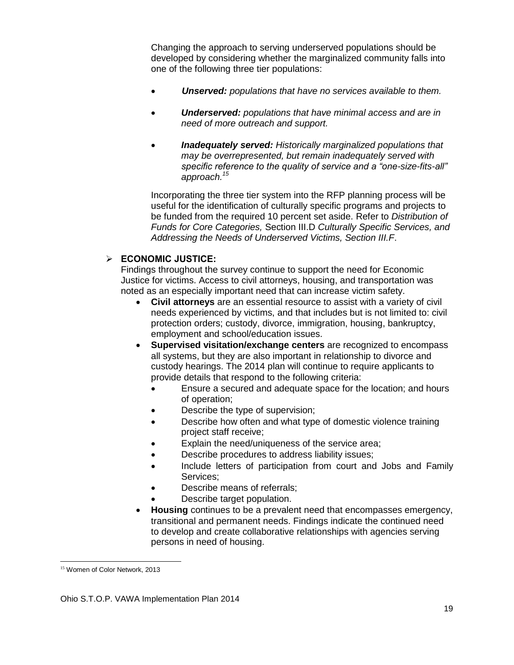Changing the approach to serving underserved populations should be developed by considering whether the marginalized community falls into one of the following three tier populations:

- *Unserved: populations that have no services available to them.*
- *Underserved: populations that have minimal access and are in need of more outreach and support.*
- *Inadequately served: Historically marginalized populations that may be overrepresented, but remain inadequately served with specific reference to the quality of service and a "one-size-fits-all" approach.<sup>15</sup>*

Incorporating the three tier system into the RFP planning process will be useful for the identification of culturally specific programs and projects to be funded from the required 10 percent set aside. Refer to *Distribution of Funds for Core Categories,* Section III.D *Culturally Specific Services, and Addressing the Needs of Underserved Victims, Section III.F*.

### **ECONOMIC JUSTICE:**

Findings throughout the survey continue to support the need for Economic Justice for victims. Access to civil attorneys, housing, and transportation was noted as an especially important need that can increase victim safety.

- **Civil attorneys** are an essential resource to assist with a variety of civil needs experienced by victims, and that includes but is not limited to: civil protection orders; custody, divorce, immigration, housing, bankruptcy, employment and school/education issues.
- **Supervised visitation/exchange centers** are recognized to encompass all systems, but they are also important in relationship to divorce and custody hearings. The 2014 plan will continue to require applicants to provide details that respond to the following criteria:
	- Ensure a secured and adequate space for the location; and hours of operation;
	- Describe the type of supervision;
	- Describe how often and what type of domestic violence training project staff receive;
	- Explain the need/uniqueness of the service area;
	- Describe procedures to address liability issues;
	- Include letters of participation from court and Jobs and Family Services;
	- Describe means of referrals;
	- Describe target population.
- **Housing** continues to be a prevalent need that encompasses emergency, transitional and permanent needs. Findings indicate the continued need to develop and create collaborative relationships with agencies serving persons in need of housing.

l <sup>15</sup> Women of Color Network, 2013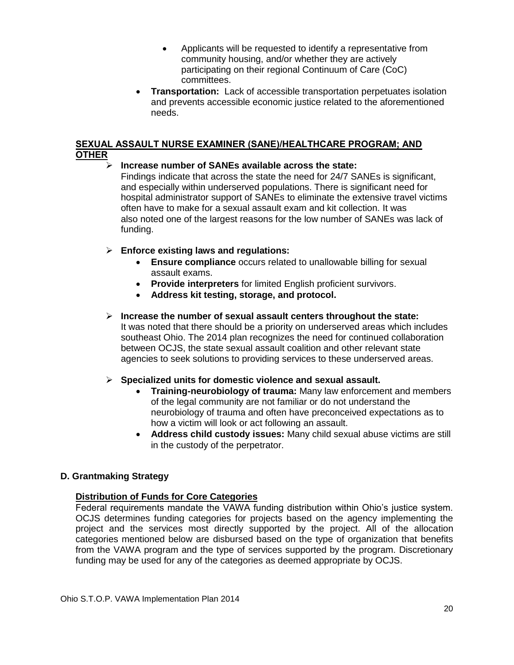- Applicants will be requested to identify a representative from community housing, and/or whether they are actively participating on their regional Continuum of Care (CoC) committees.
- **Transportation:** Lack of accessible transportation perpetuates isolation and prevents accessible economic justice related to the aforementioned needs.

#### **SEXUAL ASSAULT NURSE EXAMINER (SANE)/HEALTHCARE PROGRAM; AND OTHER**

#### **Increase number of SANEs available across the state:**

Findings indicate that across the state the need for 24/7 SANEs is significant, and especially within underserved populations. There is significant need for hospital administrator support of SANEs to eliminate the extensive travel victims often have to make for a sexual assault exam and kit collection. It was also noted one of the largest reasons for the low number of SANEs was lack of funding.

#### **Enforce existing laws and regulations:**

- **Ensure compliance** occurs related to unallowable billing for sexual assault exams.
- **Provide interpreters** for limited English proficient survivors.
- **Address kit testing, storage, and protocol.**

#### **Increase the number of sexual assault centers throughout the state:** It was noted that there should be a priority on underserved areas which includes southeast Ohio. The 2014 plan recognizes the need for continued collaboration between OCJS, the state sexual assault coalition and other relevant state agencies to seek solutions to providing services to these underserved areas.

#### **Specialized units for domestic violence and sexual assault.**

- **Training-neurobiology of trauma:** Many law enforcement and members of the legal community are not familiar or do not understand the neurobiology of trauma and often have preconceived expectations as to how a victim will look or act following an assault.
- **Address child custody issues:** Many child sexual abuse victims are still in the custody of the perpetrator.

### **D. Grantmaking Strategy**

#### **Distribution of Funds for Core Categories**

Federal requirements mandate the VAWA funding distribution within Ohio's justice system. OCJS determines funding categories for projects based on the agency implementing the project and the services most directly supported by the project. All of the allocation categories mentioned below are disbursed based on the type of organization that benefits from the VAWA program and the type of services supported by the program. Discretionary funding may be used for any of the categories as deemed appropriate by OCJS.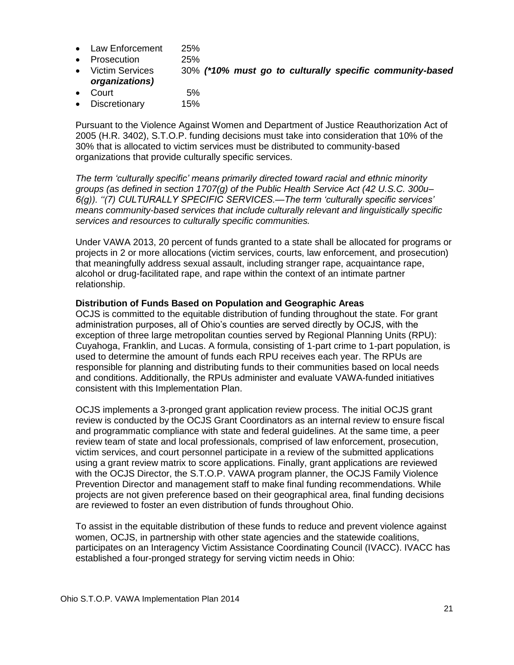- Law Enforcement 25%
- Prosecution 25%
- Victim Services 30% *(\*10% must go to culturally specific community-based organizations)*
- Court 5%
- Discretionary 15%

Pursuant to the Violence Against Women and Department of Justice Reauthorization Act of 2005 (H.R. 3402), S.T.O.P. funding decisions must take into consideration that 10% of the 30% that is allocated to victim services must be distributed to community-based organizations that provide culturally specific services.

*The term 'culturally specific' means primarily directed toward racial and ethnic minority groups (as defined in section 1707(g) of the Public Health Service Act (42 U.S.C. 300u– 6(g)). ''(7) CULTURALLY SPECIFIC SERVICES.—The term 'culturally specific services' means community-based services that include culturally relevant and linguistically specific services and resources to culturally specific communities.*

Under VAWA 2013, 20 percent of funds granted to a state shall be allocated for programs or projects in 2 or more allocations (victim services, courts, law enforcement, and prosecution) that meaningfully address sexual assault, including stranger rape, acquaintance rape, alcohol or drug-facilitated rape, and rape within the context of an intimate partner relationship.

#### **Distribution of Funds Based on Population and Geographic Areas**

OCJS is committed to the equitable distribution of funding throughout the state. For grant administration purposes, all of Ohio's counties are served directly by OCJS, with the exception of three large metropolitan counties served by Regional Planning Units (RPU): Cuyahoga, Franklin, and Lucas. A formula, consisting of 1-part crime to 1-part population, is used to determine the amount of funds each RPU receives each year. The RPUs are responsible for planning and distributing funds to their communities based on local needs and conditions. Additionally, the RPUs administer and evaluate VAWA-funded initiatives consistent with this Implementation Plan.

OCJS implements a 3-pronged grant application review process. The initial OCJS grant review is conducted by the OCJS Grant Coordinators as an internal review to ensure fiscal and programmatic compliance with state and federal guidelines. At the same time, a peer review team of state and local professionals, comprised of law enforcement, prosecution, victim services, and court personnel participate in a review of the submitted applications using a grant review matrix to score applications. Finally, grant applications are reviewed with the OCJS Director, the S.T.O.P. VAWA program planner, the OCJS Family Violence Prevention Director and management staff to make final funding recommendations. While projects are not given preference based on their geographical area, final funding decisions are reviewed to foster an even distribution of funds throughout Ohio.

To assist in the equitable distribution of these funds to reduce and prevent violence against women, OCJS, in partnership with other state agencies and the statewide coalitions, participates on an Interagency Victim Assistance Coordinating Council (IVACC). IVACC has established a four-pronged strategy for serving victim needs in Ohio: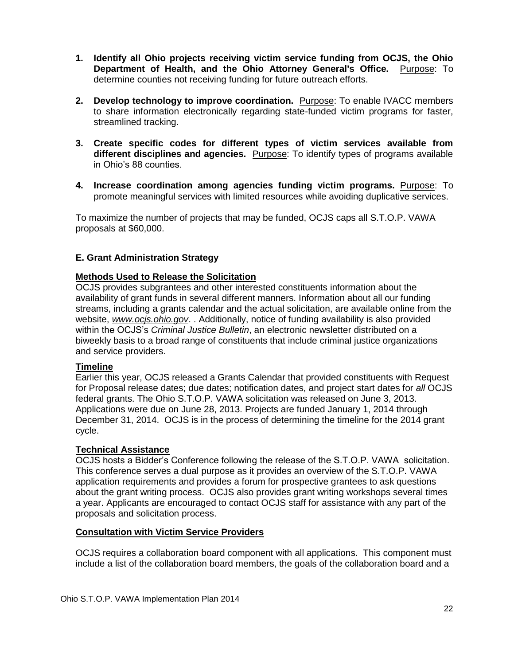- **1. Identify all Ohio projects receiving victim service funding from OCJS, the Ohio Department of Health, and the Ohio Attorney General's Office.** Purpose: To determine counties not receiving funding for future outreach efforts.
- **2. Develop technology to improve coordination.** Purpose: To enable IVACC members to share information electronically regarding state-funded victim programs for faster, streamlined tracking.
- **3. Create specific codes for different types of victim services available from different disciplines and agencies.** Purpose: To identify types of programs available in Ohio's 88 counties.
- **4. Increase coordination among agencies funding victim programs.** Purpose: To promote meaningful services with limited resources while avoiding duplicative services.

To maximize the number of projects that may be funded, OCJS caps all S.T.O.P. VAWA proposals at \$60,000.

#### **E. Grant Administration Strategy**

#### **Methods Used to Release the Solicitation**

OCJS provides subgrantees and other interested constituents information about the availability of grant funds in several different manners. Information about all our funding streams, including a grants calendar and the actual solicitation, are available online from the website, *[www.ocjs.ohio.gov](http://www.ocjs.ohio.gov/)*. . Additionally, notice of funding availability is also provided within the OCJS's *Criminal Justice Bulletin*, an electronic newsletter distributed on a biweekly basis to a broad range of constituents that include criminal justice organizations and service providers.

#### **Timeline**

Earlier this year, OCJS released a Grants Calendar that provided constituents with Request for Proposal release dates; due dates; notification dates, and project start dates for *all* OCJS federal grants. The Ohio S.T.O.P. VAWA solicitation was released on June 3, 2013. Applications were due on June 28, 2013. Projects are funded January 1, 2014 through December 31, 2014. OCJS is in the process of determining the timeline for the 2014 grant cycle.

#### **Technical Assistance**

OCJS hosts a Bidder's Conference following the release of the S.T.O.P. VAWA solicitation. This conference serves a dual purpose as it provides an overview of the S.T.O.P. VAWA application requirements and provides a forum for prospective grantees to ask questions about the grant writing process. OCJS also provides grant writing workshops several times a year. Applicants are encouraged to contact OCJS staff for assistance with any part of the proposals and solicitation process.

#### **Consultation with Victim Service Providers**

OCJS requires a collaboration board component with all applications. This component must include a list of the collaboration board members, the goals of the collaboration board and a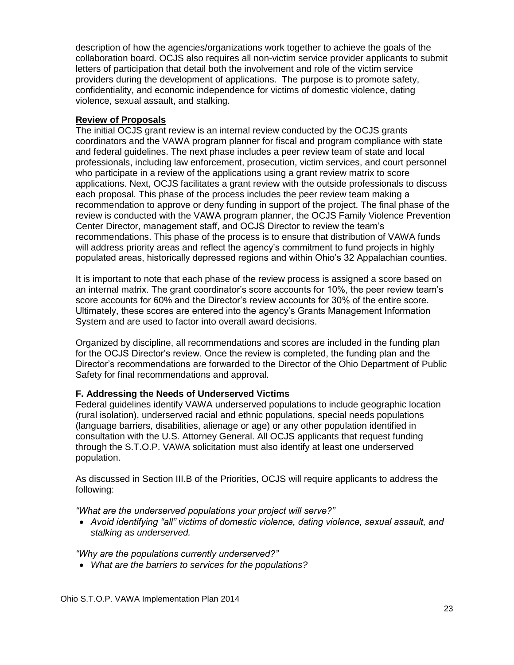description of how the agencies/organizations work together to achieve the goals of the collaboration board. OCJS also requires all non-victim service provider applicants to submit letters of participation that detail both the involvement and role of the victim service providers during the development of applications. The purpose is to promote safety, confidentiality, and economic independence for victims of domestic violence, dating violence, sexual assault, and stalking.

#### **Review of Proposals**

The initial OCJS grant review is an internal review conducted by the OCJS grants coordinators and the VAWA program planner for fiscal and program compliance with state and federal guidelines. The next phase includes a peer review team of state and local professionals, including law enforcement, prosecution, victim services, and court personnel who participate in a review of the applications using a grant review matrix to score applications. Next, OCJS facilitates a grant review with the outside professionals to discuss each proposal. This phase of the process includes the peer review team making a recommendation to approve or deny funding in support of the project. The final phase of the review is conducted with the VAWA program planner, the OCJS Family Violence Prevention Center Director, management staff, and OCJS Director to review the team's recommendations. This phase of the process is to ensure that distribution of VAWA funds will address priority areas and reflect the agency's commitment to fund projects in highly populated areas, historically depressed regions and within Ohio's 32 Appalachian counties.

It is important to note that each phase of the review process is assigned a score based on an internal matrix. The grant coordinator's score accounts for 10%, the peer review team's score accounts for 60% and the Director's review accounts for 30% of the entire score. Ultimately, these scores are entered into the agency's Grants Management Information System and are used to factor into overall award decisions.

Organized by discipline, all recommendations and scores are included in the funding plan for the OCJS Director's review. Once the review is completed, the funding plan and the Director's recommendations are forwarded to the Director of the Ohio Department of Public Safety for final recommendations and approval.

#### **F. Addressing the Needs of Underserved Victims**

Federal guidelines identify VAWA underserved populations to include geographic location (rural isolation), underserved racial and ethnic populations, special needs populations (language barriers, disabilities, alienage or age) or any other population identified in consultation with the U.S. Attorney General. All OCJS applicants that request funding through the S.T.O.P. VAWA solicitation must also identify at least one underserved population.

As discussed in Section III.B of the Priorities, OCJS will require applicants to address the following:

*"What are the underserved populations your project will serve?"*

 *Avoid identifying "all" victims of domestic violence, dating violence, sexual assault, and stalking as underserved.*

*"Why are the populations currently underserved?"*

*What are the barriers to services for the populations?*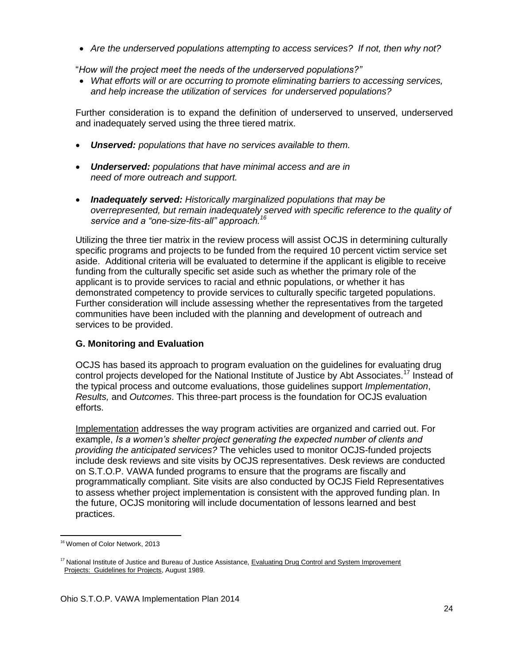*Are the underserved populations attempting to access services? If not, then why not?*

"*How will the project meet the needs of the underserved populations?"*

 *What efforts will or are occurring to promote eliminating barriers to accessing services, and help increase the utilization of services for underserved populations?*

Further consideration is to expand the definition of underserved to unserved, underserved and inadequately served using the three tiered matrix.

- *Unserved: populations that have no services available to them.*
- *Underserved: populations that have minimal access and are in need of more outreach and support.*
- *Inadequately served: Historically marginalized populations that may be overrepresented, but remain inadequately served with specific reference to the quality of service and a "one-size-fits-all" approach. 16*

Utilizing the three tier matrix in the review process will assist OCJS in determining culturally specific programs and projects to be funded from the required 10 percent victim service set aside. Additional criteria will be evaluated to determine if the applicant is eligible to receive funding from the culturally specific set aside such as whether the primary role of the applicant is to provide services to racial and ethnic populations, or whether it has demonstrated competency to provide services to culturally specific targeted populations. Further consideration will include assessing whether the representatives from the targeted communities have been included with the planning and development of outreach and services to be provided.

## **G. Monitoring and Evaluation**

OCJS has based its approach to program evaluation on the guidelines for evaluating drug control projects developed for the National Institute of Justice by Abt Associates.<sup>17</sup> Instead of the typical process and outcome evaluations, those guidelines support *Implementation*, *Results,* and *Outcomes*. This three-part process is the foundation for OCJS evaluation efforts.

Implementation addresses the way program activities are organized and carried out. For example, *Is a women's shelter project generating the expected number of clients and providing the anticipated services?* The vehicles used to monitor OCJS-funded projects include desk reviews and site visits by OCJS representatives. Desk reviews are conducted on S.T.O.P. VAWA funded programs to ensure that the programs are fiscally and programmatically compliant. Site visits are also conducted by OCJS Field Representatives to assess whether project implementation is consistent with the approved funding plan. In the future, OCJS monitoring will include documentation of lessons learned and best practices.

 $\overline{\phantom{a}}$ 

<sup>&</sup>lt;sup>16</sup> Women of Color Network, 2013

<sup>&</sup>lt;sup>17</sup> National Institute of Justice and Bureau of Justice Assistance, Evaluating Drug Control and System Improvement Projects: Guidelines for Projects, August 1989.